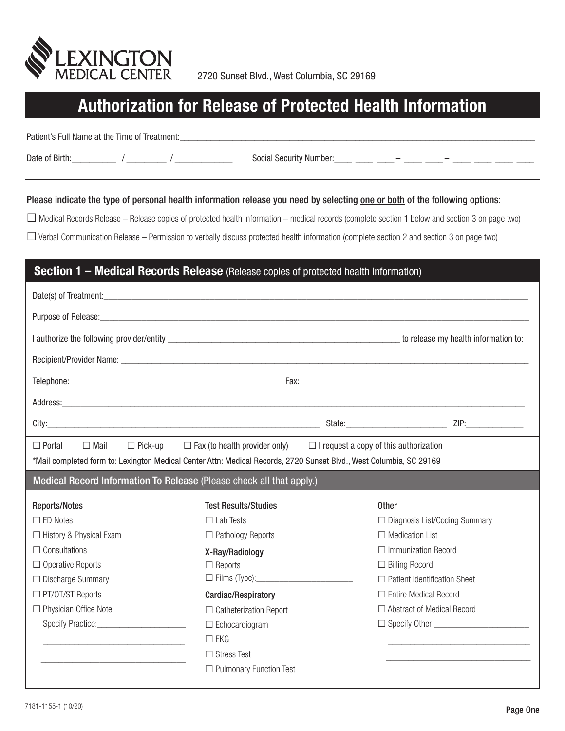

# **Authorization for Release of Protected Health Information**

Patient's Full Name at the Time of Treatment:\_\_\_\_\_\_\_\_\_\_\_\_\_\_\_\_\_\_\_\_\_\_\_\_\_\_\_\_\_\_\_\_\_\_\_

Date of Birth:  $\frac{1}{2}$  /  $\frac{1}{2}$  /  $\frac{1}{2}$  Social Security Number:  $\frac{1}{2}$   $\frac{1}{2}$   $\frac{1}{2}$   $\frac{1}{2}$   $\frac{1}{2}$   $\frac{1}{2}$   $\frac{1}{2}$   $\frac{1}{2}$   $\frac{1}{2}$   $\frac{1}{2}$   $\frac{1}{2}$   $\frac{1}{2}$   $\frac{1}{2}$   $\frac{1}{2}$   $\frac{1}{2}$ 

#### Please indicate the type of personal health information release you need by selecting one or both of the following options:

 $\Box$  Medical Records Release – Release copies of protected health information – medical records (complete section 1 below and section 3 on page two)

 $\Box$  Verbal Communication Release – Permission to verbally discuss protected health information (complete section 2 and section 3 on page two)

### **Section 1 – Medical Records Release** (Release copies of protected health information)

| Purpose of Release: experience and a series of the series of the series of the series of the series of the series of the series of the series of the series of the series of the series of the series of the series of the ser                                 |                               |              |                                      |  |
|----------------------------------------------------------------------------------------------------------------------------------------------------------------------------------------------------------------------------------------------------------------|-------------------------------|--------------|--------------------------------------|--|
|                                                                                                                                                                                                                                                                |                               |              |                                      |  |
|                                                                                                                                                                                                                                                                |                               |              |                                      |  |
|                                                                                                                                                                                                                                                                |                               |              |                                      |  |
| Address: <u>Address:</u> Address: Address: Address: Address: Address: Address: Address: Address: Address: Address: Address: Address: Address: Address: Address: Address: Address: Address: Address: Address: Address: Address: Addr                            |                               |              |                                      |  |
|                                                                                                                                                                                                                                                                |                               |              |                                      |  |
| $\Box$ Portal<br>$\Box$ I request a copy of this authorization<br>$\Box$ Mail<br>$\Box$ Pick-up<br>$\Box$ Fax (to health provider only)<br>*Mail completed form to: Lexington Medical Center Attn: Medical Records, 2720 Sunset Blvd., West Columbia, SC 29169 |                               |              |                                      |  |
| Medical Record Information To Release (Please check all that apply.)                                                                                                                                                                                           |                               |              |                                      |  |
|                                                                                                                                                                                                                                                                |                               |              |                                      |  |
| <b>Reports/Notes</b>                                                                                                                                                                                                                                           | <b>Test Results/Studies</b>   | <b>Other</b> |                                      |  |
| $\square$ ED Notes                                                                                                                                                                                                                                             | $\Box$ Lab Tests              |              | $\Box$ Diagnosis List/Coding Summary |  |
| $\Box$ History & Physical Exam                                                                                                                                                                                                                                 | $\Box$ Pathology Reports      |              | $\Box$ Medication List               |  |
| $\Box$ Consultations                                                                                                                                                                                                                                           | X-Ray/Radiology               |              | $\Box$ Immunization Record           |  |
| $\Box$ Operative Reports                                                                                                                                                                                                                                       | $\Box$ Reports                |              | $\Box$ Billing Record                |  |
| $\Box$ Discharge Summary                                                                                                                                                                                                                                       |                               |              | $\Box$ Patient Identification Sheet  |  |
| □ PT/OT/ST Reports                                                                                                                                                                                                                                             | Cardiac/Respiratory           |              | $\Box$ Entire Medical Record         |  |
| $\Box$ Physician Office Note                                                                                                                                                                                                                                   | $\Box$ Catheterization Report |              | $\Box$ Abstract of Medical Record    |  |
| Specify Practice: Specify Practice:                                                                                                                                                                                                                            | $\Box$ Echocardiogram         |              | $\Box$ Specify Other:                |  |
| <u> 1989 - Jan James James, martin amerikan bahasa (j. 1989)</u>                                                                                                                                                                                               | $\Box$ EKG                    |              |                                      |  |
|                                                                                                                                                                                                                                                                | $\Box$ Stress Test            |              |                                      |  |